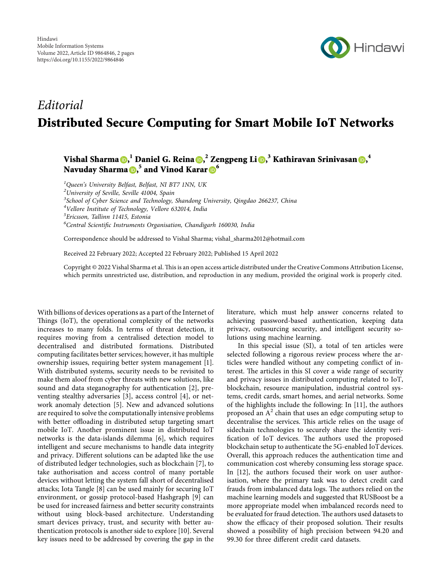

## Editorial Distributed Secure Computing for Smart Mobile IoT Networks

Vishal Sharma ()[,](https://orcid.org/0000-0003-0758-7230) dDaniel G. Reina (),  $^2$  Zengpeng Li (),  $^3$  Kathiravan Srinivasan (),  $^4$ Navuday Sharma <mark>D[,](https://orcid.org/0000-0001-7371-0888)<sup>5</sup> and Vinod Karar D</mark><sup>6</sup>

 $1$ Queen's University Belfast, Belfast, NI BT7 1NN, UK

 $2$ University of Seville, Seville 41004, Spain

<sup>3</sup>School of Cyber Science and Technology, Shandong University, Qingdao 266237, China

<sup>4</sup>Vellore Institute of Technology, Vellore 632014, India

<sup>5</sup>Ericsson, Tallinn 11415, Estonia

<sup>6</sup>Central Scientific Instruments Organisation, Chandigarh 160030, India

Correspondence should be addressed to Vishal Sharma; [vishal\\_sharma2012@hotmail.com](mailto:vishal_sharma2012@hotmail.com)

Received 22 February 2022; Accepted 22 February 2022; Published 15 April 2022

Copyright © 2022 Vishal Sharma et al. "is is an open access article distributed under the [Creative Commons Attribution License](https://creativecommons.org/licenses/by/4.0/), which permits unrestricted use, distribution, and reproduction in any medium, provided the original work is properly cited.

With billions of devices operations as a part of the Internet of Things (IoT), the operational complexity of the networks increases to many folds. In terms of threat detection, it requires moving from a centralised detection model to decentralised and distributed formations. Distributed computing facilitates better services; however, it has multiple ownership issues, requiring better system management [\[1](#page-1-0)]. With distributed systems, security needs to be revisited to make them aloof from cyber threats with new solutions, like sound and data steganography for authentication [\[2](#page-1-0)], preventing stealthy adversaries [\[3](#page-1-0)], access control [\[4](#page-1-0)], or network anomaly detection[[5\]](#page-1-0). New and advanced solutions are required to solve the computationally intensive problems with better offloading in distributed setup targeting smart mobile IoT. Another prominent issue in distributed IoT networks is the data-islands dilemma [\[6\]](#page-1-0), which requires intelligent and secure mechanisms to handle data integrity and privacy. Different solutions can be adapted like the use of distributed ledger technologies, such as blockchain [\[7\]](#page-1-0), to take authorisation and access control of many portable devices without letting the system fall short of decentralised attacks; Iota Tangle[[8](#page-1-0)] can be used mainly for securing IoT environment, or gossip protocol-based Hashgraph [\[9\]](#page-1-0) can be used for increased fairness and better security constraints without using block-based architecture. Understanding smart devices privacy, trust, and security with better authentication protocols is another side to explore[[10\]](#page-1-0). Several key issues need to be addressed by covering the gap in the

literature, which must help answer concerns related to achieving password-based authentication, keeping data privacy, outsourcing security, and intelligent security solutions using machine learning.

In this special issue (SI), a total of ten articles were selected following a rigorous review process where the articles were handled without any competing conflict of interest. The articles in this SI cover a wide range of security and privacy issues in distributed computing related to IoT, blockchain, resource manipulation, industrial control systems, credit cards, smart homes, and aerial networks. Some of the highlights include the following: In [\[11](#page-1-0)], the authors proposed an  $A^2$  chain that uses an edge computing setup to decentralise the services. This article relies on the usage of sidechain technologies to securely share the identity verification of IoT devices. The authors used the proposed blockchain setup to authenticate the 5G-enabled IoT devices. Overall, this approach reduces the authentication time and communication cost whereby consuming less storage space. In[[12\]](#page-1-0), the authors focused their work on user authorisation, where the primary task was to detect credit card frauds from imbalanced data logs. The authors relied on the machine learning models and suggested that RUSBoost be a more appropriate model when imbalanced records need to be evaluated for fraud detection. The authors used datasets to show the efficacy of their proposed solution. Their results showed a possibility of high precision between 94.20 and 99.30 for three different credit card datasets.